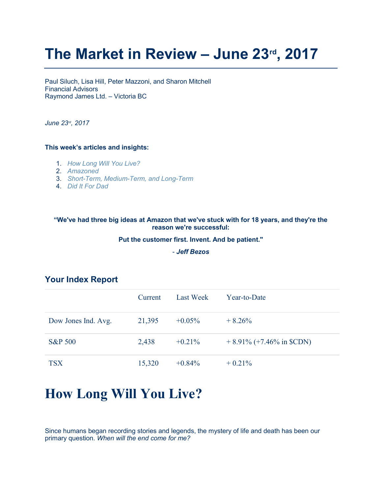# The Market in Review - June 23rd, 2017

Paul Siluch, Lisa Hill, Peter Mazzoni, and Sharon Mitchell Financial Advisors Raymond James Ltd. – Victoria BC

June 23<sup>rd</sup>, 2017

#### This week's articles and insights:

- 1. How Long Will You Live?
- 2. Amazoned
- 3. Short-Term, Medium-Term, and Long-Term
- 4. Did It For Dad

#### "We've had three big ideas at Amazon that we've stuck with for 18 years, and they're the reason we're successful:

#### Put the customer first. Invent. And be patient."

- Jeff Bezos

|                     | Current | Last Week | Year-to-Date                |
|---------------------|---------|-----------|-----------------------------|
| Dow Jones Ind. Avg. | 21,395  | $+0.05\%$ | $+8.26\%$                   |
| <b>S&amp;P 500</b>  | 2,438   | $+0.21\%$ | $+8.91\%$ (+7.46% in \$CDN) |
| <b>TSX</b>          | 15,320  | $+0.84\%$ | $+0.21\%$                   |

### Your Index Report

## How Long Will You Live?

Since humans began recording stories and legends, the mystery of life and death has been our primary question. When will the end come for me?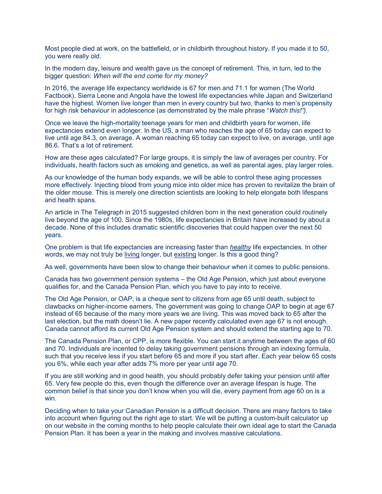Most people died at work, on the battlefield, or in childbirth throughout history. If you made it to 50, you were really old.

In the modern day, leisure and wealth gave us the concept of retirement. This, in turn, led to the bigger question: When will the end come for my money?

In 2016, the average life expectancy worldwide is 67 for men and 71.1 for women (The World Factbook). Sierra Leone and Angola have the lowest life expectancies while Japan and Switzerland have the highest. Women live longer than men in every country but two, thanks to men's propensity for high risk behaviour in adolescence (as demonstrated by the male phrase "Watch this!").

Once we leave the high-mortality teenage years for men and childbirth years for women, life expectancies extend even longer. In the US, a man who reaches the age of 65 today can expect to live until age 84.3, on average. A woman reaching 65 today can expect to live, on average, until age 86.6. That's a lot of retirement.

How are these ages calculated? For large groups, it is simply the law of averages per country. For individuals, health factors such as smoking and genetics, as well as parental ages, play larger roles.

As our knowledge of the human body expands, we will be able to control these aging processes more effectively. Injecting blood from young mice into older mice has proven to revitalize the brain of the older mouse. This is merely one direction scientists are looking to help elongate both lifespans and health spans.

An article in The Telegraph in 2015 suggested children born in the next generation could routinely live beyond the age of 100. Since the 1980s, life expectancies in Britain have increased by about a decade. None of this includes dramatic scientific discoveries that could happen over the next 50 years.

One problem is that life expectancies are increasing faster than healthy life expectancies. In other words, we may not truly be living longer, but existing longer. Is this a good thing?

As well, governments have been slow to change their behaviour when it comes to public pensions.

Canada has two government pension systems – the Old Age Pension, which just about everyone qualifies for, and the Canada Pension Plan, which you have to pay into to receive.

The Old Age Pension, or OAP, is a cheque sent to citizens from age 65 until death, subject to clawbacks on higher-income earners. The government was going to change OAP to begin at age 67 instead of 65 because of the many more years we are living. This was moved back to 65 after the last election, but the math doesn't lie. A new paper recently calculated even age 67 is not enough. Canada cannot afford its current Old Age Pension system and should extend the starting age to 70.

The Canada Pension Plan, or CPP, is more flexible. You can start it anytime between the ages of 60 and 70. Individuals are incented to delay taking government pensions through an indexing formula, such that you receive less if you start before 65 and more if you start after. Each year below 65 costs you 6%, while each year after adds 7% more per year until age 70.

If you are still working and in good health, you should probably defer taking your pension until after 65. Very few people do this, even though the difference over an average lifespan is huge. The common belief is that since you don't know when you will die, every payment from age 60 on is a win.

Deciding when to take your Canadian Pension is a difficult decision. There are many factors to take into account when figuring out the right age to start. We will be putting a custom-built calculator up on our website in the coming months to help people calculate their own ideal age to start the Canada Pension Plan. It has been a year in the making and involves massive calculations.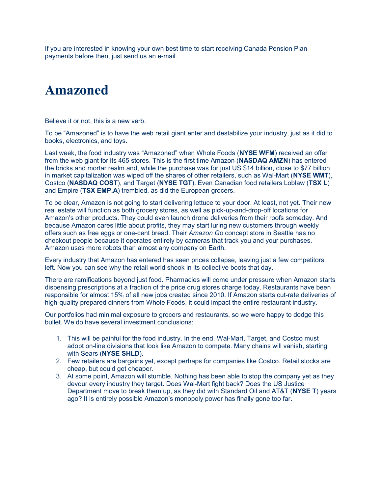If you are interested in knowing your own best time to start receiving Canada Pension Plan payments before then, just send us an e-mail.

## Amazoned

Believe it or not, this is a new verb.

To be "Amazoned" is to have the web retail giant enter and destabilize your industry, just as it did to books, electronics, and toys.

Last week, the food industry was "Amazoned" when Whole Foods (NYSE WFM) received an offer from the web giant for its 465 stores. This is the first time Amazon (NASDAQ AMZN) has entered the bricks and mortar realm and, while the purchase was for just US \$14 billion, close to \$77 billion in market capitalization was wiped off the shares of other retailers, such as Wal-Mart (NYSE WMT), Costco (NASDAQ COST), and Target (NYSE TGT). Even Canadian food retailers Loblaw (TSX L) and Empire (TSX EMP.A) trembled, as did the European grocers.

To be clear, Amazon is not going to start delivering lettuce to your door. At least, not yet. Their new real estate will function as both grocery stores, as well as pick-up-and-drop-off locations for Amazon's other products. They could even launch drone deliveries from their roofs someday. And because Amazon cares little about profits, they may start luring new customers through weekly offers such as free eggs or one-cent bread. Their Amazon Go concept store in Seattle has no checkout people because it operates entirely by cameras that track you and your purchases. Amazon uses more robots than almost any company on Earth.

Every industry that Amazon has entered has seen prices collapse, leaving just a few competitors left. Now you can see why the retail world shook in its collective boots that day.

There are ramifications beyond just food. Pharmacies will come under pressure when Amazon starts dispensing prescriptions at a fraction of the price drug stores charge today. Restaurants have been responsible for almost 15% of all new jobs created since 2010. If Amazon starts cut-rate deliveries of high-quality prepared dinners from Whole Foods, it could impact the entire restaurant industry.

Our portfolios had minimal exposure to grocers and restaurants, so we were happy to dodge this bullet. We do have several investment conclusions:

- 1. This will be painful for the food industry. In the end, Wal-Mart, Target, and Costco must adopt on-line divisions that look like Amazon to compete. Many chains will vanish, starting with Sears (NYSE SHLD).
- 2. Few retailers are bargains yet, except perhaps for companies like Costco. Retail stocks are cheap, but could get cheaper.
- 3. At some point, Amazon will stumble. Nothing has been able to stop the company yet as they devour every industry they target. Does Wal-Mart fight back? Does the US Justice Department move to break them up, as they did with Standard Oil and AT&T (NYSE T) years ago? It is entirely possible Amazon's monopoly power has finally gone too far.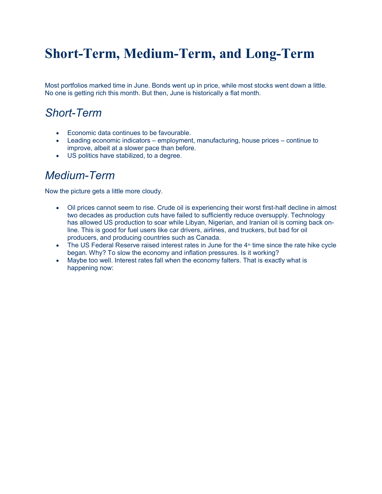# Short-Term, Medium-Term, and Long-Term

Most portfolios marked time in June. Bonds went up in price, while most stocks went down a little. No one is getting rich this month. But then, June is historically a flat month.

### Short-Term

- Economic data continues to be favourable.
- Leading economic indicators employment, manufacturing, house prices continue to improve, albeit at a slower pace than before.
- US politics have stabilized, to a degree.

### Medium-Term

Now the picture gets a little more cloudy.

- Oil prices cannot seem to rise. Crude oil is experiencing their worst first-half decline in almost two decades as production cuts have failed to sufficiently reduce oversupply. Technology has allowed US production to soar while Libyan, Nigerian, and Iranian oil is coming back online. This is good for fuel users like car drivers, airlines, and truckers, but bad for oil producers, and producing countries such as Canada.
- $\bullet$  The US Federal Reserve raised interest rates in June for the  $4<sup>th</sup>$  time since the rate hike cycle began. Why? To slow the economy and inflation pressures. Is it working?
- Maybe too well. Interest rates fall when the economy falters. That is exactly what is happening now: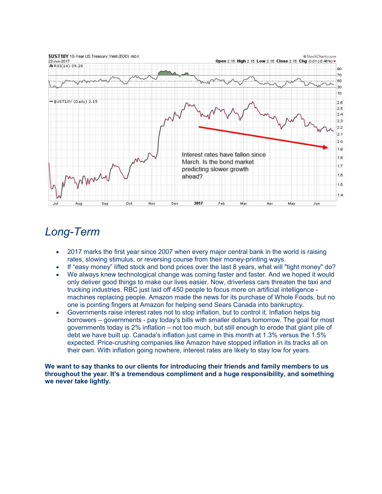

### Long-Term

- 2017 marks the first year since 2007 when every major central bank in the world is raising rates, slowing stimulus, or reversing course from their money-printing ways.
- If "easy money" lifted stock and bond prices over the last 8 years, what will "tight money" do?
- We always knew technological change was coming faster and faster. And we hoped it would only deliver good things to make our lives easier. Now, driverless cars threaten the taxi and trucking industries. RBC just laid off 450 people to focus more on artificial intelligence machines replacing people. Amazon made the news for its purchase of Whole Foods, but no one is pointing fingers at Amazon for helping send Sears Canada into bankruptcy.
- Governments raise interest rates not to stop inflation, but to control it. Inflation helps big borrowers – governments - pay today's bills with smaller dollars tomorrow. The goal for most governments today is 2% inflation – not too much, but still enough to erode that giant pile of debt we have built up. Canada's inflation just came in this month at 1.3% versus the 1.5% expected. Price-crushing companies like Amazon have stopped inflation in its tracks all on their own. With inflation going nowhere, interest rates are likely to stay low for years.

We want to say thanks to our clients for introducing their friends and family members to us throughout the year. It's a tremendous compliment and a huge responsibility, and something we never take lightly.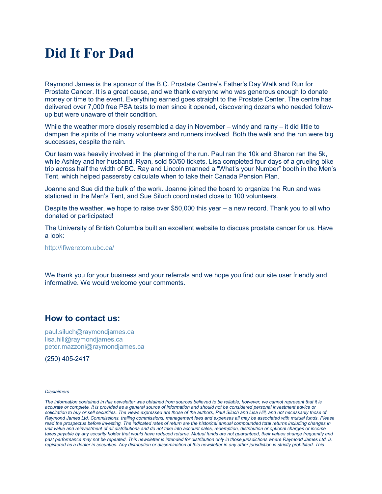## Did It For Dad

Raymond James is the sponsor of the B.C. Prostate Centre's Father's Day Walk and Run for Prostate Cancer. It is a great cause, and we thank everyone who was generous enough to donate money or time to the event. Everything earned goes straight to the Prostate Center. The centre has delivered over 7,000 free PSA tests to men since it opened, discovering dozens who needed followup but were unaware of their condition.

While the weather more closely resembled a day in November – windy and rainy – it did little to dampen the spirits of the many volunteers and runners involved. Both the walk and the run were big successes, despite the rain.

Our team was heavily involved in the planning of the run. Paul ran the 10k and Sharon ran the 5k, while Ashley and her husband, Ryan, sold 50/50 tickets. Lisa completed four days of a grueling bike trip across half the width of BC. Ray and Lincoln manned a "What's your Number" booth in the Men's Tent, which helped passersby calculate when to take their Canada Pension Plan.

Joanne and Sue did the bulk of the work. Joanne joined the board to organize the Run and was stationed in the Men's Tent, and Sue Siluch coordinated close to 100 volunteers.

Despite the weather, we hope to raise over \$50,000 this year – a new record. Thank you to all who donated or participated!

The University of British Columbia built an excellent website to discuss prostate cancer for us. Have a look:

http://ifiweretom.ubc.ca/

We thank you for your business and your referrals and we hope you find our site user friendly and informative. We would welcome your comments.

#### How to contact us:

paul.siluch@raymondjames.ca lisa.hill@raymondjames.ca peter.mazzoni@raymondjames.ca

(250) 405-2417

#### **Disclaimers**

The information contained in this newsletter was obtained from sources believed to be reliable, however, we cannot represent that it is accurate or complete. It is provided as a general source of information and should not be considered personal investment advice or solicitation to buy or sell securities. The views expressed are those of the authors, Paul Siluch and Lisa Hill, and not necessarily those of Raymond James Ltd. Commissions, trailing commissions, management fees and expenses all may be associated with mutual funds. Please read the prospectus before investing. The indicated rates of return are the historical annual compounded total returns including changes in unit value and reinvestment of all distributions and do not take into account sales, redemption, distribution or optional charges or income taxes payable by any security holder that would have reduced returns. Mutual funds are not guaranteed, their values change frequently and past performance may not be repeated. This newsletter is intended for distribution only in those jurisdictions where Raymond James Ltd. is registered as a dealer in securities. Any distribution or dissemination of this newsletter in any other jurisdiction is strictly prohibited. This